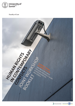

**Faculty of Law**